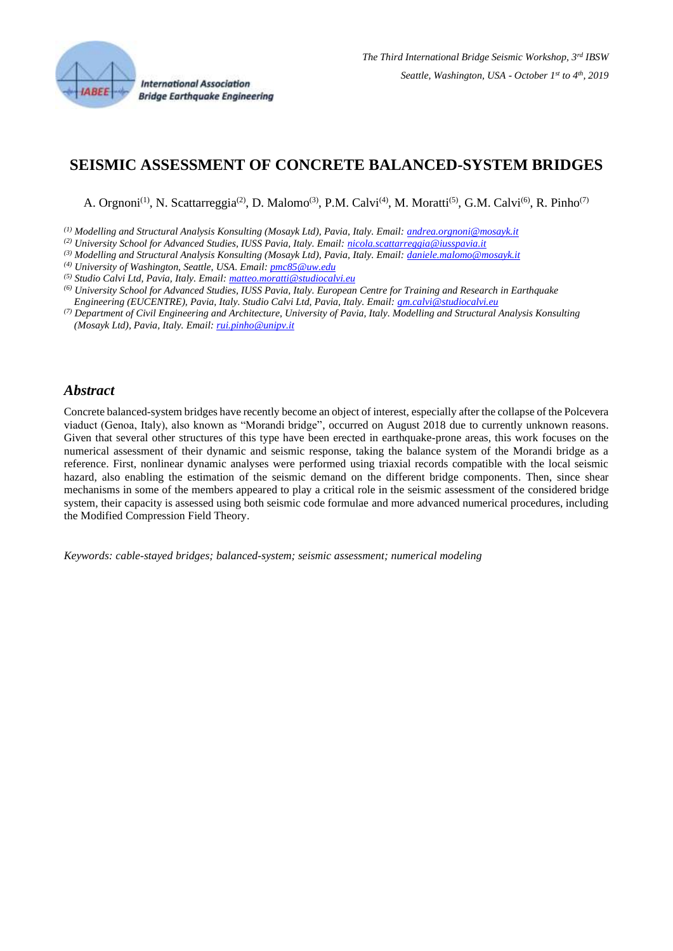

**International Association Bridge Earthquake Engineering** 

# **SEISMIC ASSESSMENT OF CONCRETE BALANCED-SYSTEM BRIDGES**

A. Orgnoni<sup>(1)</sup>, N. Scattarreggia<sup>(2)</sup>, D. Malomo<sup>(3)</sup>, P.M. Calvi<sup>(4)</sup>, M. Moratti<sup>(5)</sup>, G.M. Calvi<sup>(6)</sup>, R. Pinho<sup>(7)</sup>

*(1) Modelling and Structural Analysis Konsulting (Mosayk Ltd), Pavia, Italy. Email: [andrea.orgnoni@mosayk.it](mailto:andrea.orgnoni@mosayk.it)*

- *(2) University School for Advanced Studies, IUSS Pavia, Italy. Email: [nicola.scattarreggia@iusspavia.it](mailto:nicola.scattarreggia@iusspavia.it)*
- *(3) Modelling and Structural Analysis Konsulting (Mosayk Ltd), Pavia, Italy. Email: [daniele.malomo@mosayk.it](mailto:daniele.malomo@mosayk.it)*
- *(4) University of Washington, Seattle, USA. Email[: pmc85@uw.edu](mailto:pmc85@uw.edu)*
- *(5) Studio Calvi Ltd, Pavia, Italy. Email[: matteo.moratti@studiocalvi.eu](mailto:matteo.moratti@studiocalvi.eu)*
- *(6) University School for Advanced Studies, IUSS Pavia, Italy. European Centre for Training and Research in Earthquake*
- *Engineering (EUCENTRE), Pavia, Italy. Studio Calvi Ltd, Pavia, Italy. Email[: gm.calvi@studiocalvi.eu](mailto:gm.calvi@studiocalvi.eu)*
- *(7) Department of Civil Engineering and Architecture, University of Pavia, Italy. Modelling and Structural Analysis Konsulting (Mosayk Ltd), Pavia, Italy. Email[: rui.pinho@unipv.it](mailto:rui.pinho@unipv.it)*

#### *Abstract*

Concrete balanced-system bridges have recently become an object of interest, especially after the collapse of the Polcevera viaduct (Genoa, Italy), also known as "Morandi bridge", occurred on August 2018 due to currently unknown reasons. Given that several other structures of this type have been erected in earthquake-prone areas, this work focuses on the numerical assessment of their dynamic and seismic response, taking the balance system of the Morandi bridge as a reference. First, nonlinear dynamic analyses were performed using triaxial records compatible with the local seismic hazard, also enabling the estimation of the seismic demand on the different bridge components. Then, since shear mechanisms in some of the members appeared to play a critical role in the seismic assessment of the considered bridge system, their capacity is assessed using both seismic code formulae and more advanced numerical procedures, including the Modified Compression Field Theory.

*Keywords: cable-stayed bridges; balanced-system; seismic assessment; numerical modeling*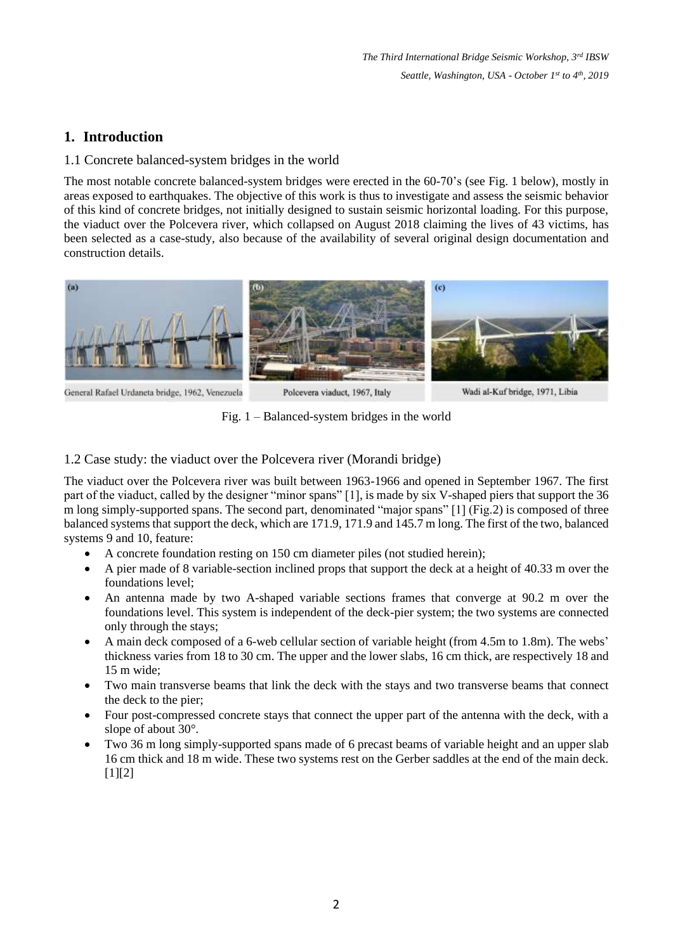# **1. Introduction**

## 1.1 Concrete balanced-system bridges in the world

The most notable concrete balanced-system bridges were erected in the 60-70's (see Fig. 1 below), mostly in areas exposed to earthquakes. The objective of this work is thus to investigate and assess the seismic behavior of this kind of concrete bridges, not initially designed to sustain seismic horizontal loading. For this purpose, the viaduct over the Polcevera river, which collapsed on August 2018 claiming the lives of 43 victims, has been selected as a case-study, also because of the availability of several original design documentation and construction details.



Fig. 1 – Balanced-system bridges in the world

### 1.2 Case study: the viaduct over the Polcevera river (Morandi bridge)

The viaduct over the Polcevera river was built between 1963-1966 and opened in September 1967. The first part of the viaduct, called by the designer "minor spans" [1], is made by six V-shaped piers that support the 36 m long simply-supported spans. The second part, denominated "major spans" [1] (Fig.2) is composed of three balanced systems that support the deck, which are 171.9, 171.9 and 145.7 m long. The first of the two, balanced systems 9 and 10, feature:

- A concrete foundation resting on 150 cm diameter piles (not studied herein);
- A pier made of 8 variable-section inclined props that support the deck at a height of 40.33 m over the foundations level;
- An antenna made by two A-shaped variable sections frames that converge at 90.2 m over the foundations level. This system is independent of the deck-pier system; the two systems are connected only through the stays;
- A main deck composed of a 6-web cellular section of variable height (from 4.5m to 1.8m). The webs' thickness varies from 18 to 30 cm. The upper and the lower slabs, 16 cm thick, are respectively 18 and 15 m wide;
- Two main transverse beams that link the deck with the stays and two transverse beams that connect the deck to the pier;
- Four post-compressed concrete stays that connect the upper part of the antenna with the deck, with a slope of about 30°.
- Two 36 m long simply-supported spans made of 6 precast beams of variable height and an upper slab 16 cm thick and 18 m wide. These two systems rest on the Gerber saddles at the end of the main deck.  $[1]$ [2]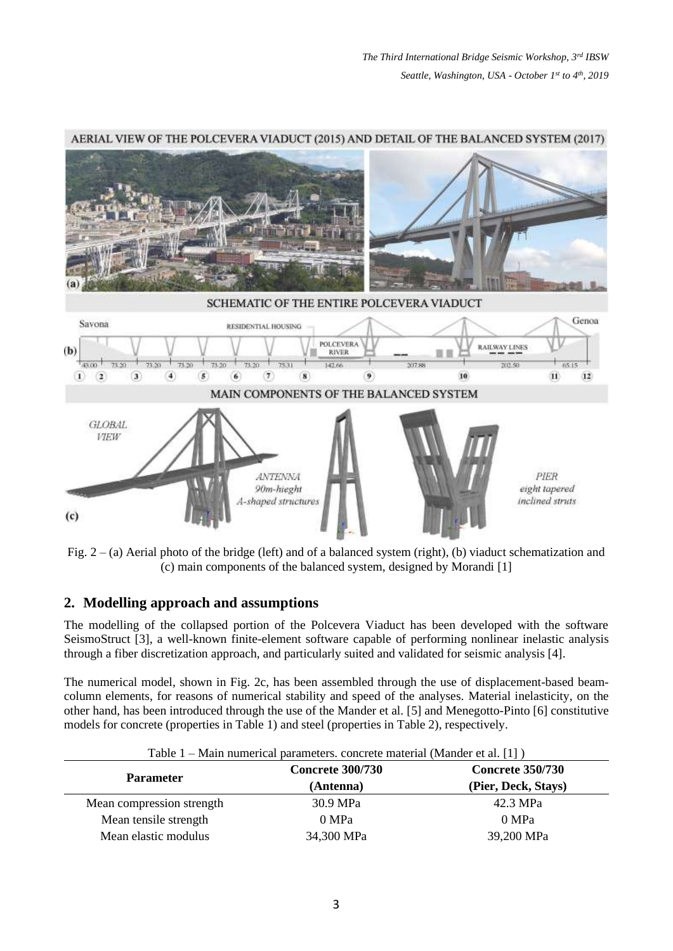

#### AERIAL VIEW OF THE POLCEVERA VIADUCT (2015) AND DETAIL OF THE BALANCED SYSTEM (2017)

Fig. 2 – (a) Aerial photo of the bridge (left) and of a balanced system (right), (b) viaduct schematization and (c) main components of the balanced system, designed by Morandi [1]

#### **2. Modelling approach and assumptions**

The modelling of the collapsed portion of the Polcevera Viaduct has been developed with the software SeismoStruct [3], a well-known finite-element software capable of performing nonlinear inelastic analysis through a fiber discretization approach, and particularly suited and validated for seismic analysis [4].

The numerical model, shown in Fig. 2c, has been assembled through the use of displacement-based beamcolumn elements, for reasons of numerical stability and speed of the analyses. Material inelasticity, on the other hand, has been introduced through the use of the Mander et al. [5] and Menegotto-Pinto [6] constitutive models for concrete (properties in Table 1) and steel (properties in Table 2), respectively.

|                           | <b>Concrete 300/730</b> | <b>Concrete 350/730</b> |
|---------------------------|-------------------------|-------------------------|
| <b>Parameter</b>          | (Antenna)               | (Pier, Deck, Stays)     |
| Mean compression strength | 30.9 MPa                | 42.3 MPa                |
| Mean tensile strength     | 0 MPa                   | 0 MPa                   |
| Mean elastic modulus      | 34,300 MPa              | 39,200 MPa              |

Table 1 – Main numerical parameters. concrete material (Mander et al. [1] )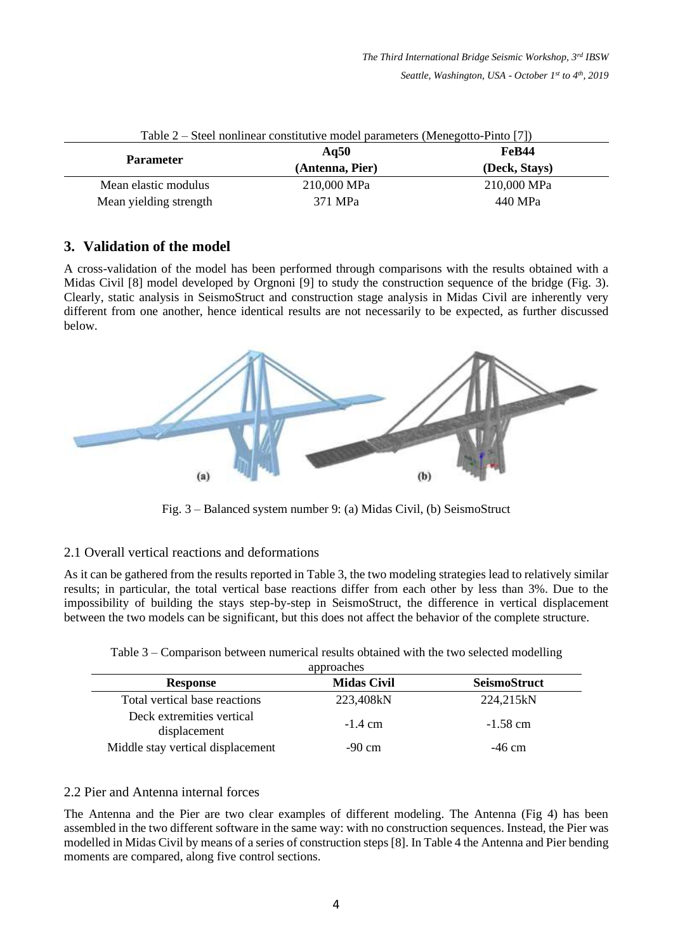| <b>Parameter</b>       | Aq $50$         | FeB44         |
|------------------------|-----------------|---------------|
|                        | (Antenna, Pier) | (Deck, Stays) |
| Mean elastic modulus   | 210,000 MPa     | 210,000 MPa   |
| Mean yielding strength | 371 MPa         | 440 MPa       |

| Table $2$ – Steel nonlinear constitutive model parameters (Menegotto-Pinto [7]) |  |
|---------------------------------------------------------------------------------|--|
|---------------------------------------------------------------------------------|--|

## **3. Validation of the model**

A cross-validation of the model has been performed through comparisons with the results obtained with a Midas Civil [8] model developed by Orgnoni [9] to study the construction sequence of the bridge (Fig. 3). Clearly, static analysis in SeismoStruct and construction stage analysis in Midas Civil are inherently very different from one another, hence identical results are not necessarily to be expected, as further discussed below.



Fig. 3 – Balanced system number 9: (a) Midas Civil, (b) SeismoStruct

## 2.1 Overall vertical reactions and deformations

As it can be gathered from the results reported in Table 3, the two modeling strategies lead to relatively similar results; in particular, the total vertical base reactions differ from each other by less than 3%. Due to the impossibility of building the stays step-by-step in SeismoStruct, the difference in vertical displacement between the two models can be significant, but this does not affect the behavior of the complete structure.

Table 3 – Comparison between numerical results obtained with the two selected modelling

| approaches                                |                    |                     |  |  |
|-------------------------------------------|--------------------|---------------------|--|--|
| <b>Response</b>                           | <b>Midas Civil</b> | <b>SeismoStruct</b> |  |  |
| Total vertical base reactions             | 223,408kN          | 224,215kN           |  |  |
| Deck extremities vertical<br>displacement | $-1.4$ cm          | $-1.58$ cm          |  |  |
| Middle stay vertical displacement         | $-90 \text{ cm}$   | $-46$ cm            |  |  |

#### 2.2 Pier and Antenna internal forces

The Antenna and the Pier are two clear examples of different modeling. The Antenna (Fig 4) has been assembled in the two different software in the same way: with no construction sequences. Instead, the Pier was modelled in Midas Civil by means of a series of construction steps [8]. In Table 4 the Antenna and Pier bending moments are compared, along five control sections.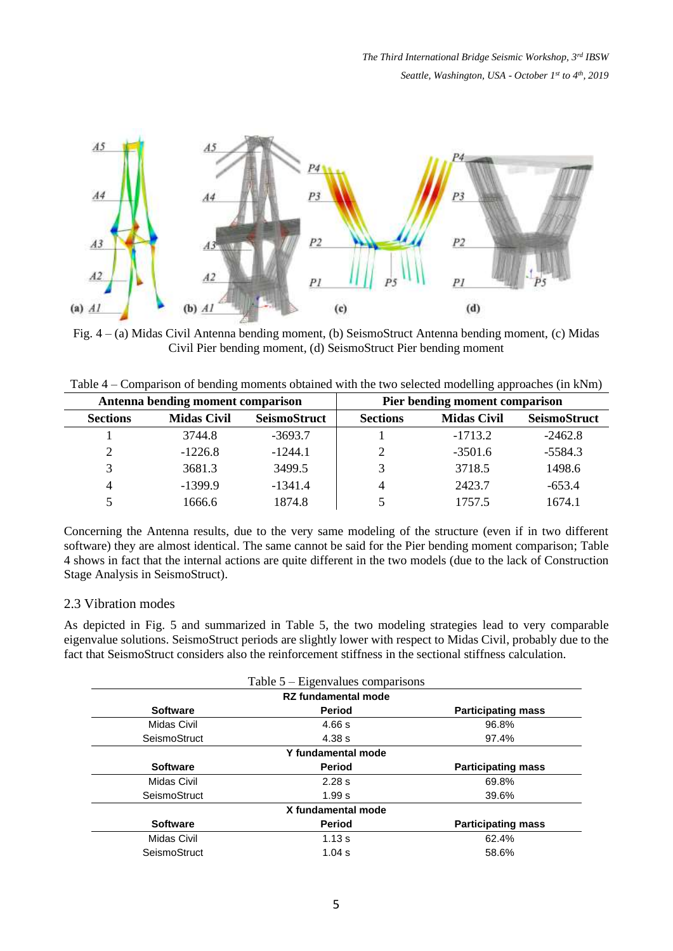

Fig. 4 – (a) Midas Civil Antenna bending moment, (b) SeismoStruct Antenna bending moment, (c) Midas Civil Pier bending moment, (d) SeismoStruct Pier bending moment

|  | Table $4$ – Comparison of bending moments obtained with the two selected modelling approaches (in kNm) |  |
|--|--------------------------------------------------------------------------------------------------------|--|
|  |                                                                                                        |  |

| Antenna bending moment comparison |                    |                     |                 | Pier bending moment comparison |                     |
|-----------------------------------|--------------------|---------------------|-----------------|--------------------------------|---------------------|
| <b>Sections</b>                   | <b>Midas Civil</b> | <b>SeismoStruct</b> | <b>Sections</b> | <b>Midas Civil</b>             | <b>SeismoStruct</b> |
|                                   | 3744.8             | $-3693.7$           |                 | $-1713.2$                      | $-2462.8$           |
| $\mathcal{D}$                     | $-1226.8$          | $-1244.1$           |                 | $-3501.6$                      | $-5584.3$           |
|                                   | 3681.3             | 3499.5              |                 | 3718.5                         | 1498.6              |
| 4                                 | $-1399.9$          | $-1341.4$           | 4               | 2423.7                         | $-653.4$            |
|                                   | 1666.6             | 1874.8              |                 | 1757.5                         | 1674.1              |

Concerning the Antenna results, due to the very same modeling of the structure (even if in two different software) they are almost identical. The same cannot be said for the Pier bending moment comparison; Table 4 shows in fact that the internal actions are quite different in the two models (due to the lack of Construction Stage Analysis in SeismoStruct).

#### 2.3 Vibration modes

As depicted in Fig. 5 and summarized in Table 5, the two modeling strategies lead to very comparable eigenvalue solutions. SeismoStruct periods are slightly lower with respect to Midas Civil, probably due to the fact that SeismoStruct considers also the reinforcement stiffness in the sectional stiffness calculation.

|                 | Table $5 -$ Eigenvalues comparisons |                           |
|-----------------|-------------------------------------|---------------------------|
|                 | <b>RZ</b> fundamental mode          |                           |
| <b>Software</b> | <b>Period</b>                       | <b>Participating mass</b> |
| Midas Civil     | 4.66 s                              | 96.8%                     |
| SeismoStruct    | 4.38 s                              | 97.4%                     |
|                 | Y fundamental mode                  |                           |
| <b>Software</b> | <b>Period</b>                       | <b>Participating mass</b> |
| Midas Civil     | 2.28 s                              | 69.8%                     |
| SeismoStruct    | 1.99 s                              | 39.6%                     |
|                 | X fundamental mode                  |                           |
| <b>Software</b> | <b>Period</b>                       | <b>Participating mass</b> |
| Midas Civil     | 1.13 s                              | 62.4%                     |
| SeismoStruct    | 1.04 s                              | 58.6%                     |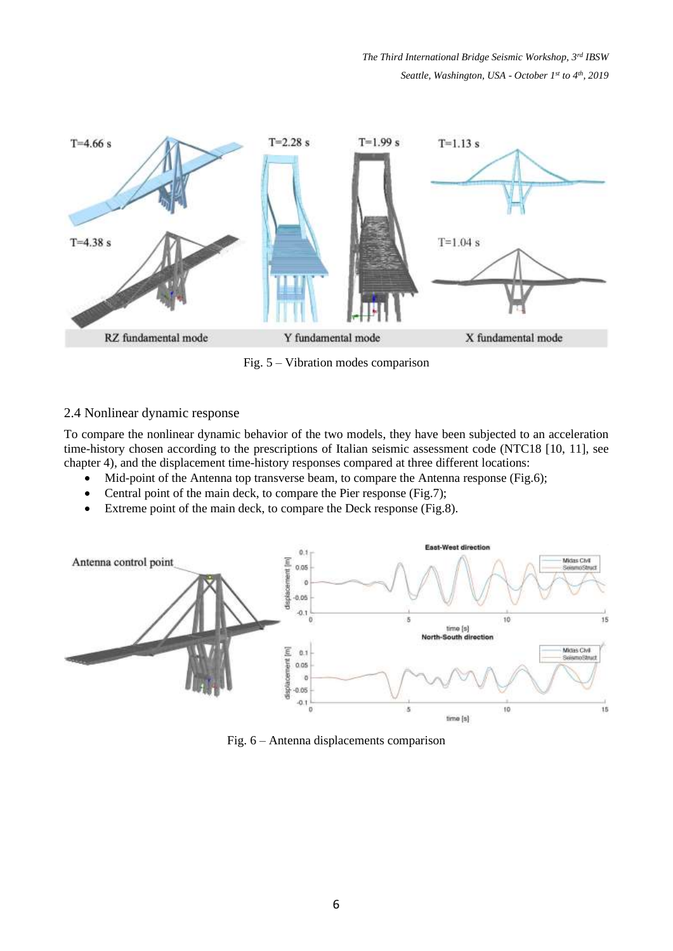

Fig. 5 – Vibration modes comparison

### 2.4 Nonlinear dynamic response

To compare the nonlinear dynamic behavior of the two models, they have been subjected to an acceleration time-history chosen according to the prescriptions of Italian seismic assessment code (NTC18 [10, 11], see chapter 4), and the displacement time-history responses compared at three different locations:

- Mid-point of the Antenna top transverse beam, to compare the Antenna response (Fig.6);
- Central point of the main deck, to compare the Pier response (Fig.7);
- Extreme point of the main deck, to compare the Deck response (Fig.8).



Fig. 6 – Antenna displacements comparison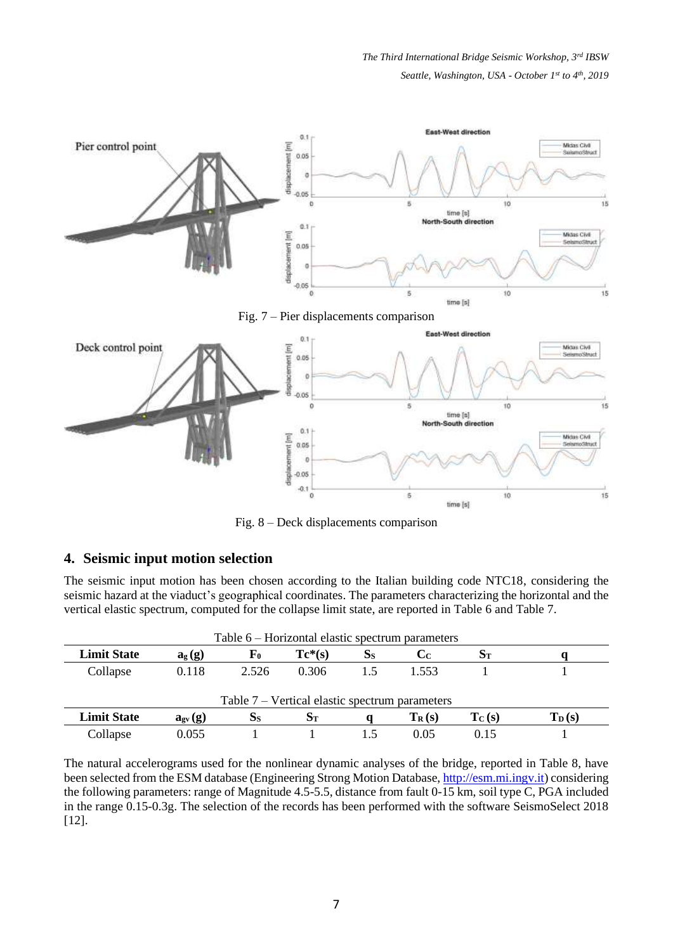*The Third International Bridge Seismic Workshop, 3rd IBSW Seattle, Washington, USA - October 1 st to 4th , 2019*



Fig. 8 – Deck displacements comparison

## **4. Seismic input motion selection**

The seismic input motion has been chosen according to the Italian building code NTC18, considering the seismic hazard at the viaduct's geographical coordinates. The parameters characterizing the horizontal and the vertical elastic spectrum, computed for the collapse limit state, are reported in Table 6 and Table 7.

| Table $6$ – Horizontal elastic spectrum parameters |                                                 |             |           |         |                         |          |            |
|----------------------------------------------------|-------------------------------------------------|-------------|-----------|---------|-------------------------|----------|------------|
| <b>Limit State</b>                                 | $a_g(g)$                                        | ${\bf F_0}$ | $Tc^*(s)$ | $S_{S}$ | $\mathbf{C}_\mathrm{C}$ | $S_T$    |            |
| Collapse                                           | 0.118                                           | 2.526       | 0.306     | 1.5     | 1.553                   |          |            |
|                                                    |                                                 |             |           |         |                         |          |            |
| Table $7$ – Vertical elastic spectrum parameters   |                                                 |             |           |         |                         |          |            |
| <b>Limit State</b>                                 | $\mathbf{a}_{\text{gv}}\left(\mathbf{g}\right)$ | $S_{S}$     | $S_T$     |         | $T_R(s)$                | $T_C(s)$ | $T_{D}(s)$ |
| Collapse                                           | 0.055                                           |             |           |         | 0.05                    | 0.15     |            |

The natural accelerograms used for the nonlinear dynamic analyses of the bridge, reported in Table 8, have been selected from the ESM database (Engineering Strong Motion Database, [http://esm.mi.ingv.it\)](http://esm.mi.ingv.it/) considering the following parameters: range of Magnitude 4.5-5.5, distance from fault 0-15 km, soil type C, PGA included in the range 0.15-0.3g. The selection of the records has been performed with the software SeismoSelect 2018 [12].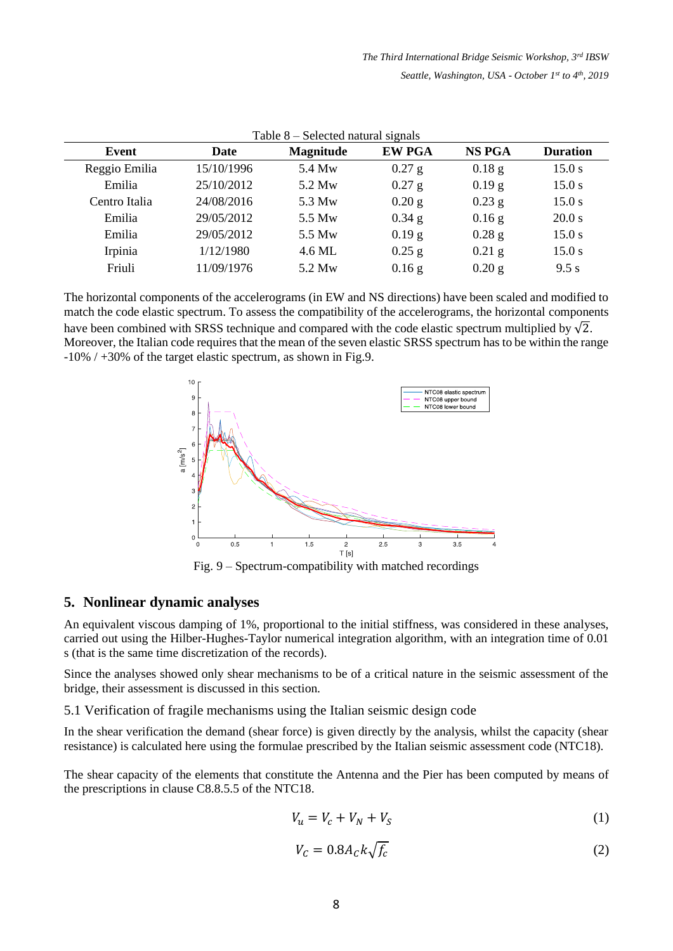| Table $8$ – Selected natural signals |            |                  |               |               |                 |  |
|--------------------------------------|------------|------------------|---------------|---------------|-----------------|--|
| Event                                | Date       | <b>Magnitude</b> | <b>EW PGA</b> | <b>NS PGA</b> | <b>Duration</b> |  |
| Reggio Emilia                        | 15/10/1996 | 5.4 Mw           | $0.27$ g      | $0.18$ g      | 15.0 s          |  |
| Emilia                               | 25/10/2012 | 5.2 Mw           | $0.27$ g      | $0.19$ g      | 15.0 s          |  |
| Centro Italia                        | 24/08/2016 | 5.3 Mw           | $0.20$ g      | $0.23$ g      | 15.0 s          |  |
| Emilia                               | 29/05/2012 | 5.5 Mw           | $0.34$ g      | $0.16$ g      | 20.0 s          |  |
| Emilia                               | 29/05/2012 | 5.5 Mw           | $0.19$ g      | $0.28$ g      | 15.0 s          |  |
| Irpinia                              | 1/12/1980  | 4.6 ML           | $0.25$ g      | $0.21$ g      | 15.0 s          |  |
| Friuli                               | 11/09/1976 | 5.2 Mw           | $0.16$ g      | $0.20$ g      | 9.5 s           |  |

The horizontal components of the accelerograms (in EW and NS directions) have been scaled and modified to match the code elastic spectrum. To assess the compatibility of the accelerograms, the horizontal components have been combined with SRSS technique and compared with the code elastic spectrum multiplied by  $\sqrt{2}$ . Moreover, the Italian code requires that the mean of the seven elastic SRSS spectrum has to be within the range -10% / +30% of the target elastic spectrum, as shown in Fig.9.



Fig. 9 – Spectrum-compatibility with matched recordings

#### **5. Nonlinear dynamic analyses**

An equivalent viscous damping of 1%, proportional to the initial stiffness, was considered in these analyses, carried out using the Hilber-Hughes-Taylor numerical integration algorithm, with an integration time of 0.01 s (that is the same time discretization of the records).

Since the analyses showed only shear mechanisms to be of a critical nature in the seismic assessment of the bridge, their assessment is discussed in this section.

5.1 Verification of fragile mechanisms using the Italian seismic design code

In the shear verification the demand (shear force) is given directly by the analysis, whilst the capacity (shear resistance) is calculated here using the formulae prescribed by the Italian seismic assessment code (NTC18).

The shear capacity of the elements that constitute the Antenna and the Pier has been computed by means of the prescriptions in clause C8.8.5.5 of the NTC18.

$$
V_u = V_c + V_N + V_S \tag{1}
$$

$$
V_c = 0.8A_c k \sqrt{f_c} \tag{2}
$$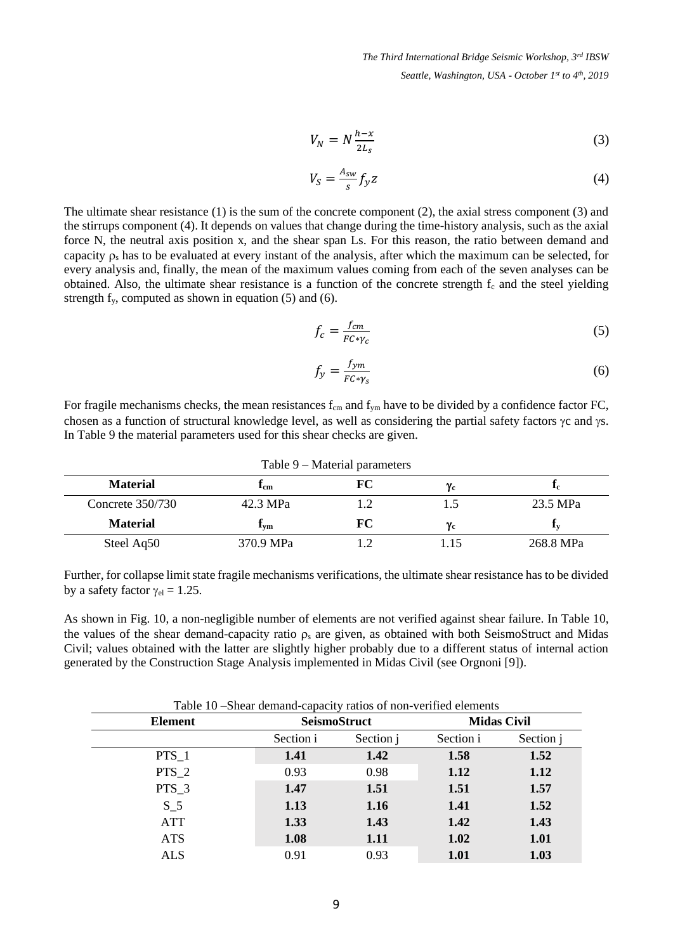$$
V_N = N \frac{h - x}{2L_s} \tag{3}
$$

$$
V_S = \frac{A_{sw}}{s} f_{\mathcal{Y}} z \tag{4}
$$

The ultimate shear resistance (1) is the sum of the concrete component (2), the axial stress component (3) and the stirrups component (4). It depends on values that change during the time-history analysis, such as the axial force N, the neutral axis position x, and the shear span Ls. For this reason, the ratio between demand and capacity  $\rho_s$  has to be evaluated at every instant of the analysis, after which the maximum can be selected, for every analysis and, finally, the mean of the maximum values coming from each of the seven analyses can be obtained. Also, the ultimate shear resistance is a function of the concrete strength  $f_c$  and the steel yielding strength  $f_y$ , computed as shown in equation (5) and (6).

$$
f_c = \frac{f_{cm}}{FC \ast \gamma_c} \tag{5}
$$

$$
f_y = \frac{f_{ym}}{FC \cdot \gamma_s} \tag{6}
$$

For fragile mechanisms checks, the mean resistances  $f_{cm}$  and  $f_{ym}$  have to be divided by a confidence factor FC, chosen as a function of structural knowledge level, as well as considering the partial safety factors  $\gamma c$  and  $\gamma s$ . In Table 9 the material parameters used for this shear checks are given.

| Table 9 – Material parameters |           |    |                  |                |  |
|-------------------------------|-----------|----|------------------|----------------|--|
| <b>Material</b>               | Lem       | FC | $\gamma_{\rm c}$ | <sup>1</sup> c |  |
| Concrete $350/730$            | 42.3 MPa  |    | L.5              | 23.5 MPa       |  |
| <b>Material</b>               | Lvm       | FC | $\gamma_{\rm c}$ | 4V.            |  |
| Steel Aq50                    | 370.9 MPa |    |                  | 268.8 MPa      |  |

Further, for collapse limit state fragile mechanisms verifications, the ultimate shear resistance has to be divided by a safety factor  $\gamma_{el} = 1.25$ .

As shown in Fig. 10, a non-negligible number of elements are not verified against shear failure. In Table 10, the values of the shear demand-capacity ratio  $\rho_s$  are given, as obtained with both SeismoStruct and Midas Civil; values obtained with the latter are slightly higher probably due to a different status of internal action generated by the Construction Stage Analysis implemented in Midas Civil (see Orgnoni [9]).

| Table 10 – Shear demand-capacity ratios of non-verified elements |           |                     |           |                    |  |
|------------------------------------------------------------------|-----------|---------------------|-----------|--------------------|--|
| <b>Element</b>                                                   |           | <b>SeismoStruct</b> |           | <b>Midas Civil</b> |  |
|                                                                  | Section i | Section j           | Section i | Section j          |  |
| PTS 1                                                            | 1.41      | 1.42                | 1.58      | 1.52               |  |
| PTS <sub>2</sub>                                                 | 0.93      | 0.98                | 1.12      | 1.12               |  |
| $PTS_3$                                                          | 1.47      | 1.51                | 1.51      | 1.57               |  |
| $S_{-}5$                                                         | 1.13      | 1.16                | 1.41      | 1.52               |  |
| <b>ATT</b>                                                       | 1.33      | 1.43                | 1.42      | 1.43               |  |
| <b>ATS</b>                                                       | 1.08      | 1.11                | 1.02      | <b>1.01</b>        |  |
| ALS                                                              | 0.91      | 0.93                | 1.01      | 1.03               |  |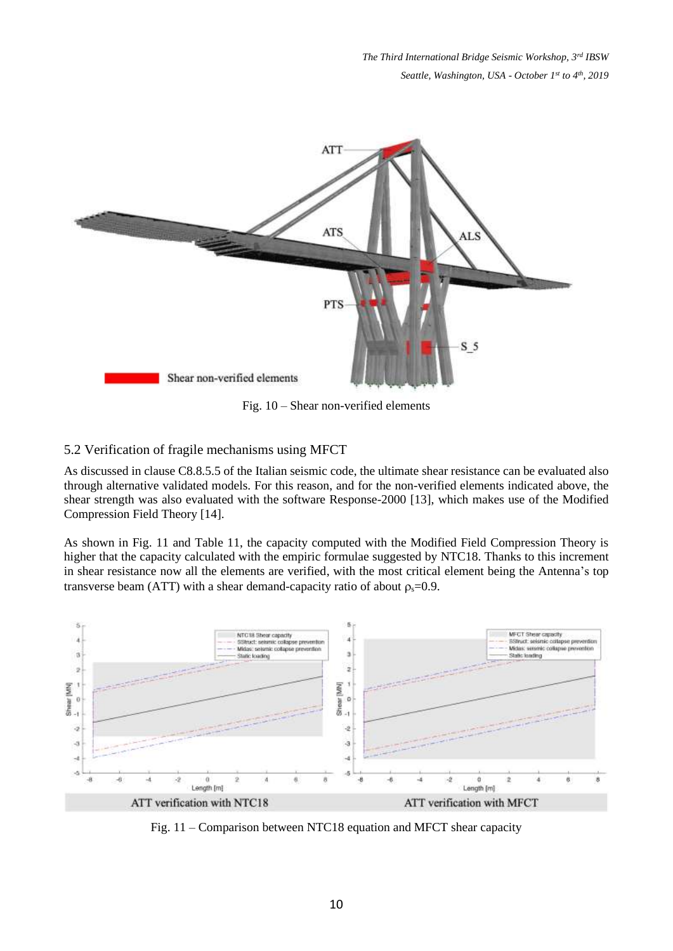

Fig. 10 – Shear non-verified elements

## 5.2 Verification of fragile mechanisms using MFCT

As discussed in clause C8.8.5.5 of the Italian seismic code, the ultimate shear resistance can be evaluated also through alternative validated models. For this reason, and for the non-verified elements indicated above, the shear strength was also evaluated with the software Response-2000 [13], which makes use of the Modified Compression Field Theory [14].

As shown in Fig. 11 and Table 11, the capacity computed with the Modified Field Compression Theory is higher that the capacity calculated with the empiric formulae suggested by NTC18. Thanks to this increment in shear resistance now all the elements are verified, with the most critical element being the Antenna's top transverse beam (ATT) with a shear demand-capacity ratio of about  $\rho_s$ =0.9.



Fig. 11 – Comparison between NTC18 equation and MFCT shear capacity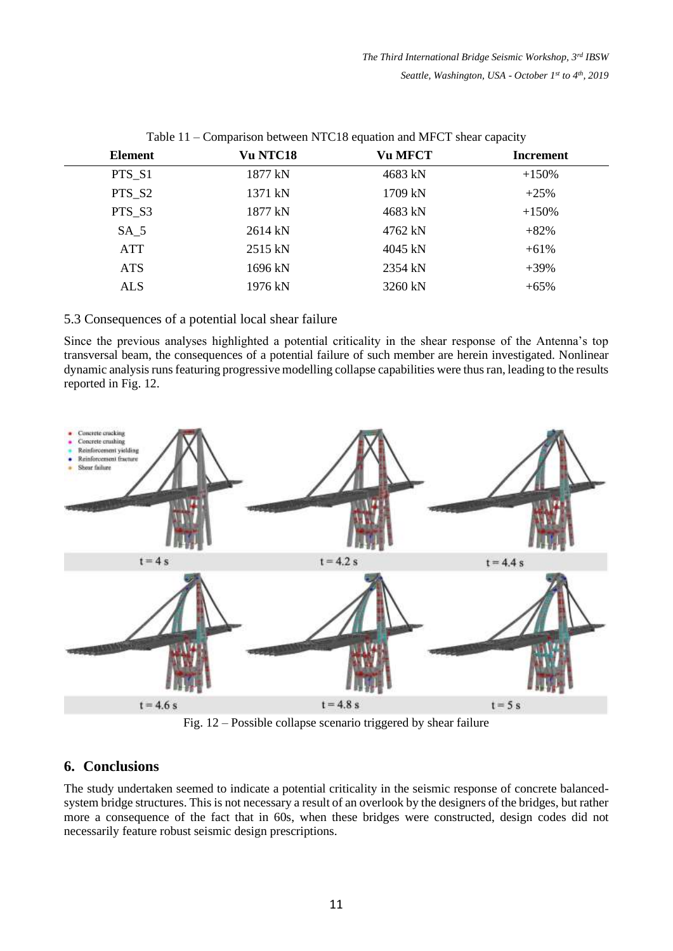| Vu NTC18 | <b>Vu MFCT</b> | Increment |
|----------|----------------|-----------|
| 1877 kN  | 4683 kN        | $+150%$   |
| 1371 kN  | 1709 kN        | $+25%$    |
| 1877 kN  | 4683 kN        | $+150%$   |
| 2614 kN  | 4762 kN        | $+82%$    |
| 2515 kN  | 4045 kN        | $+61%$    |
| 1696 kN  | 2354 kN        | $+39%$    |
| 1976 kN  | 3260 kN        | $+65%$    |
|          |                |           |

Table 11 – Comparison between NTC18 equation and MFCT shear capacity

5.3 Consequences of a potential local shear failure

Since the previous analyses highlighted a potential criticality in the shear response of the Antenna's top transversal beam, the consequences of a potential failure of such member are herein investigated. Nonlinear dynamic analysis runs featuring progressive modelling collapse capabilities were thus ran, leading to the results reported in Fig. 12.



Fig. 12 – Possible collapse scenario triggered by shear failure

## **6. Conclusions**

The study undertaken seemed to indicate a potential criticality in the seismic response of concrete balancedsystem bridge structures. This is not necessary a result of an overlook by the designers of the bridges, but rather more a consequence of the fact that in 60s, when these bridges were constructed, design codes did not necessarily feature robust seismic design prescriptions.